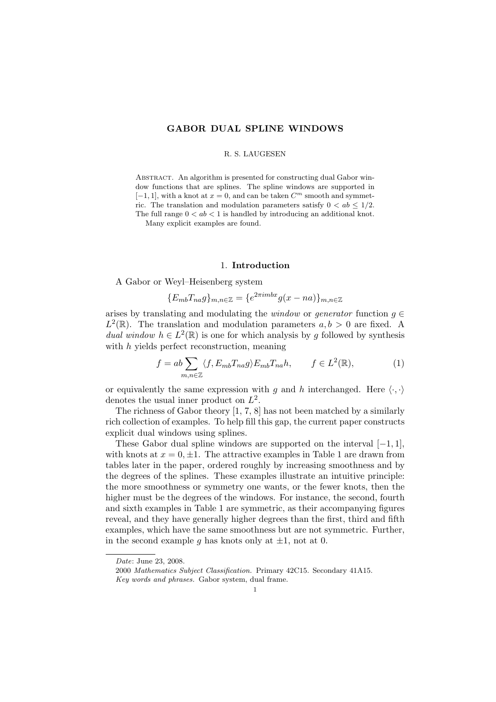# GABOR DUAL SPLINE WINDOWS

## R. S. LAUGESEN

ABSTRACT. An algorithm is presented for constructing dual Gabor window functions that are splines. The spline windows are supported in  $[-1, 1]$ , with a knot at  $x = 0$ , and can be taken  $C<sup>m</sup>$  smooth and symmetric. The translation and modulation parameters satisfy  $0 < ab \leq 1/2$ . The full range  $0 < ab < 1$  is handled by introducing an additional knot.

Many explicit examples are found.

#### 1. Introduction

A Gabor or Weyl–Heisenberg system

$$
\{E_{mb}T_{na}g\}_{m,n\in\mathbb{Z}}=\{e^{2\pi imbx}g(x-na)\}_{m,n\in\mathbb{Z}}
$$

arises by translating and modulating the *window* or *generator* function  $g \in$  $L^2(\mathbb{R})$ . The translation and modulation parameters  $a, b > 0$  are fixed. A dual window  $h \in L^2(\mathbb{R})$  is one for which analysis by g followed by synthesis with h yields perfect reconstruction, meaning

$$
f = ab \sum_{m,n \in \mathbb{Z}} \langle f, E_{mb} T_{na} g \rangle E_{mb} T_{na} h, \qquad f \in L^2(\mathbb{R}), \tag{1}
$$

or equivalently the same expression with g and h interchanged. Here  $\langle \cdot, \cdot \rangle$ denotes the usual inner product on  $L^2$ .

The richness of Gabor theory [1, 7, 8] has not been matched by a similarly rich collection of examples. To help fill this gap, the current paper constructs explicit dual windows using splines.

These Gabor dual spline windows are supported on the interval  $[-1, 1]$ , with knots at  $x = 0, \pm 1$ . The attractive examples in Table 1 are drawn from tables later in the paper, ordered roughly by increasing smoothness and by the degrees of the splines. These examples illustrate an intuitive principle: the more smoothness or symmetry one wants, or the fewer knots, then the higher must be the degrees of the windows. For instance, the second, fourth and sixth examples in Table 1 are symmetric, as their accompanying figures reveal, and they have generally higher degrees than the first, third and fifth examples, which have the same smoothness but are not symmetric. Further, in the second example g has knots only at  $\pm 1$ , not at 0.

Date: June 23, 2008.

<sup>2000</sup> Mathematics Subject Classification. Primary 42C15. Secondary 41A15.

Key words and phrases. Gabor system, dual frame.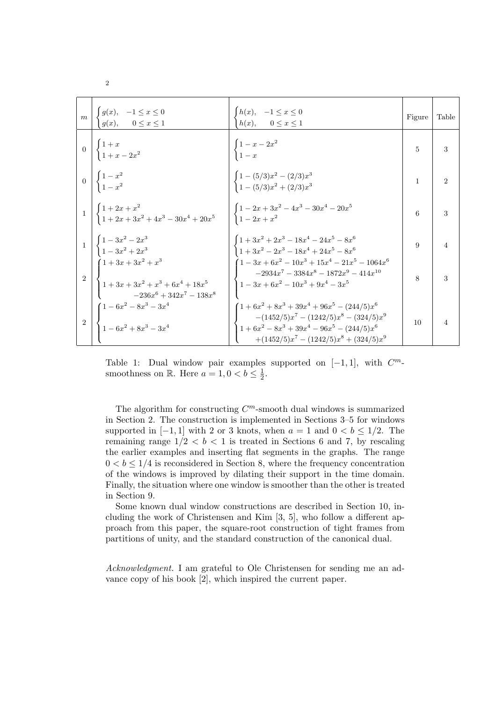| $\vert m \vert$ | $\left\{\n \begin{array}{ll}\n g(x), & -1 \leq x \leq 0 \\  g(x), & 0 \leq x \leq 1\n \end{array}\n\right.$                                          | $\begin{cases} h(x), & -1 \leq x \leq 0 \\ h(x), & 0 \leq x \leq 1 \end{cases}$                                                                                                        | Figure       | Table          |
|-----------------|------------------------------------------------------------------------------------------------------------------------------------------------------|----------------------------------------------------------------------------------------------------------------------------------------------------------------------------------------|--------------|----------------|
|                 | $0\left[\begin{array}{c} 1+x \\ 1+x-2x^2 \end{array}\right]$                                                                                         | $\begin{cases} 1 - x - 2x^2 \\ 1 - x \end{cases}$                                                                                                                                      | 5            | 3              |
|                 | $\begin{array}{c} 0 \\ 0 \end{array} \begin{array}{c} 1-x^2 \\ 1-x^2 \end{array}$                                                                    | $\begin{array}{l} \begin{cases} 1 - (5/3)x^2 - (2/3)x^3 \\ 1 - (5/3)x^2 + (2/3)x^3 \end{cases} \end{array}$                                                                            | $\mathbf{1}$ | $\overline{2}$ |
|                 | $1\begin{array}{c c} 1 & 1+2x+x^2 \\ 1+2x+3x^2+4x^3-30x^4+20x^5 \end{array}$ $\begin{array}{c c} 1-2x+3x^2-4x^3-30x^4-20x^5 \\ 1-2x+x^2 \end{array}$ |                                                                                                                                                                                        | 6            | 3              |
|                 | $\begin{array}{c c} 1 & 4 & 1 & 3x^2 & 2x^3 \\ & 1 & 3x^2 & 2x^3 \end{array}$                                                                        | $1+3x^2+2x^3-18x^4-24x^5-8x^6$<br>$\left(1+3x^2-2x^3-18x^4+24x^5-8x^6\right)$                                                                                                          | 9            | $\overline{4}$ |
|                 | $\begin{cases}\n1 + 3x + 3x^2 + x^3 \\ 1 + 3x + 3x^2 + x^3 + 6x^4 + 18x^5\n\end{cases}$<br>$-236x^6 + 342x^7 - 138x^8$                               | $1-3x+6x^2-10x^3+15x^4-21x^5-1064x^6$<br>$-2934x^{7} - 3384x^{8} - 1872x^{9} - 414x^{10}$<br>$1-3x+6x^2-10x^3+9x^4-3x^5$                                                               | 8            | 3              |
|                 | $\begin{cases} 1-6x^2-8x^3-3x^4\\ 1-6x^2+8x^3-3x^4 \end{cases}$                                                                                      | $(1+6x^2+8x^3+39x^4+96x^5-(244/5)x^6)$<br>$-(1452/5)x^{7}-(1242/5)x^{8}-(324/5)x^{9}$<br>$1 + 6x^2 - 8x^3 + 39x^4 - 96x^5 - (244/5)x^6$<br>$+(1452/5)x^{7}-(1242/5)x^{8}+(324/5)x^{9}$ | 10           | 4              |

Table 1: Dual window pair examples supported on  $[-1, 1]$ , with  $C^m$ smoothness on R. Here  $a=1, 0 < b \leq \frac{1}{2}$  $\frac{1}{2}$ .

The algorithm for constructing  $C<sup>m</sup>$ -smooth dual windows is summarized in Section 2. The construction is implemented in Sections 3–5 for windows supported in  $[-1, 1]$  with 2 or 3 knots, when  $a = 1$  and  $0 < b \leq 1/2$ . The remaining range  $1/2 < b < 1$  is treated in Sections 6 and 7, by rescaling the earlier examples and inserting flat segments in the graphs. The range  $0 < b \leq 1/4$  is reconsidered in Section 8, where the frequency concentration of the windows is improved by dilating their support in the time domain. Finally, the situation where one window is smoother than the other is treated in Section 9.

Some known dual window constructions are described in Section 10, including the work of Christensen and Kim [3, 5], who follow a different approach from this paper, the square-root construction of tight frames from partitions of unity, and the standard construction of the canonical dual.

Acknowledgment. I am grateful to Ole Christensen for sending me an advance copy of his book [2], which inspired the current paper.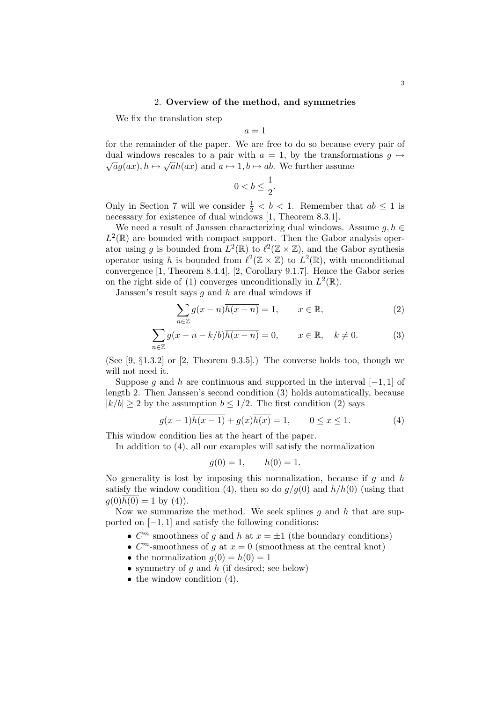# 2. Overview of the method, and symmetries

We fix the translation step

$$
a = 1
$$

for the remainder of the paper. We are free to do so because every pair of dual windows rescales to a pair with  $a = 1$ , by the transformations  $g \mapsto$  $\overline{a}g(ax), h \mapsto \sqrt{a}h(ax)$  and  $a \mapsto 1, b \mapsto ab$ . We further assume

$$
0
$$

Only in Section 7 will we consider  $\frac{1}{2} < b < 1$ . Remember that  $ab \le 1$  is necessary for existence of dual windows [1, Theorem 8.3.1].

We need a result of Janssen characterizing dual windows. Assume  $g, h \in$  $L^2(\mathbb{R})$  are bounded with compact support. Then the Gabor analysis operator using g is bounded from  $L^2(\mathbb{R})$  to  $\ell^2(\mathbb{Z} \times \mathbb{Z})$ , and the Gabor synthesis operator using h is bounded from  $\ell^2(\mathbb{Z} \times \mathbb{Z})$  to  $L^2(\mathbb{R})$ , with unconditional convergence [1, Theorem 8.4.4], [2, Corollary 9.1.7]. Hence the Gabor series on the right side of (1) converges unconditionally in  $L^2(\mathbb{R})$ .

Janssen's result says  $g$  and  $h$  are dual windows if

$$
\sum_{n\in\mathbb{Z}} g(x-n)\overline{h(x-n)} = 1, \qquad x \in \mathbb{R},
$$
 (2)

$$
\sum_{n\in\mathbb{Z}} g(x-n-k/b)\overline{h(x-n)} = 0, \qquad x \in \mathbb{R}, \quad k \neq 0.
$$
 (3)

(See  $[9, \S1.3.2]$  or  $[2,$  Theorem 9.3.5].) The converse holds too, though we will not need it.

Suppose g and h are continuous and supported in the interval  $[-1, 1]$  of length 2. Then Janssen's second condition (3) holds automatically, because  $|k/b| \ge 2$  by the assumption  $b \le 1/2$ . The first condition (2) says

$$
g(x-1)\overline{h(x-1)} + g(x)\overline{h(x)} = 1, \qquad 0 \le x \le 1.
$$
 (4)

This window condition lies at the heart of the paper.

In addition to (4), all our examples will satisfy the normalization

$$
g(0) = 1,
$$
  $h(0) = 1.$ 

No generality is lost by imposing this normalization, because if  $g$  and  $h$ satisfy the window condition (4), then so do  $q/q(0)$  and  $h/h(0)$  (using that  $q(0)h(0) = 1$  by (4)).

Now we summarize the method. We seek splines q and  $h$  that are supported on  $[-1, 1]$  and satisfy the following conditions:

- $C<sup>m</sup>$  smoothness of g and h at  $x = \pm 1$  (the boundary conditions)
- $C^m$ -smoothness of g at  $x = 0$  (smoothness at the central knot)
- the normalization  $q(0) = h(0) = 1$
- symmetry of g and h (if desired; see below)
- the window condition  $(4)$ .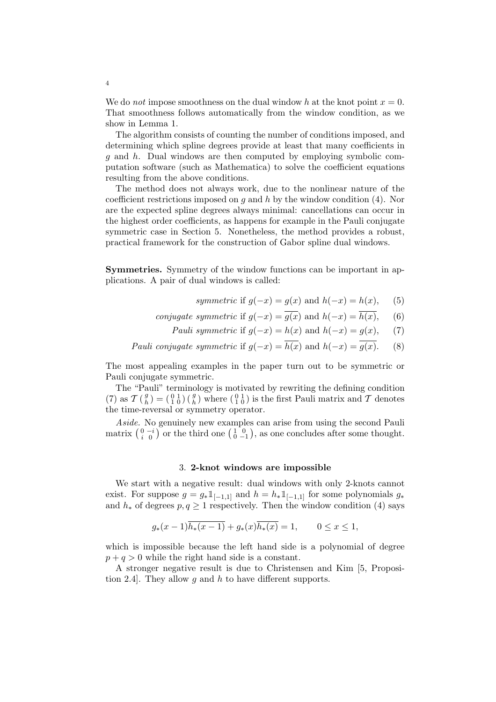We do *not* impose smoothness on the dual window h at the knot point  $x = 0$ . That smoothness follows automatically from the window condition, as we show in Lemma 1.

The algorithm consists of counting the number of conditions imposed, and determining which spline degrees provide at least that many coefficients in g and h. Dual windows are then computed by employing symbolic computation software (such as Mathematica) to solve the coefficient equations resulting from the above conditions.

The method does not always work, due to the nonlinear nature of the coefficient restrictions imposed on  $g$  and  $h$  by the window condition (4). Nor are the expected spline degrees always minimal: cancellations can occur in the highest order coefficients, as happens for example in the Pauli conjugate symmetric case in Section 5. Nonetheless, the method provides a robust, practical framework for the construction of Gabor spline dual windows.

Symmetries. Symmetry of the window functions can be important in applications. A pair of dual windows is called:

- symmetric if  $q(-x) = q(x)$  and  $h(-x) = h(x)$ , (5)
- conjugate symmetric if  $g(-x) = \overline{g(x)}$  and  $h(-x) = \overline{h(x)}$ , (6)
	- Pauli symmetric if  $g(-x) = h(x)$  and  $h(-x) = g(x)$ , (7)

Pauli conjugate symmetric if  $g(-x) = \overline{h(x)}$  and  $h(-x) = \overline{g(x)}$ . (8)

The most appealing examples in the paper turn out to be symmetric or Pauli conjugate symmetric.

The "Pauli" terminology is motivated by rewriting the defining condition  $(7)$  as  $\mathcal{T}(\frac{g}{h})$  $\binom{g}{h} = \left(\begin{smallmatrix} 0 & 1 \\ 1 & 0 \end{smallmatrix}\right) \left(\begin{smallmatrix} g \\ h \end{smallmatrix}\right)$  where  $\left(\begin{smallmatrix} 0 & 1 \\ 1 & 0 \end{smallmatrix}\right)$  is the first Pauli matrix and T denotes the time-reversal or symmetry operator.

Aside. No genuinely new examples can arise from using the second Pauli Asiae. No genuinely new examples can arise from using the second Pauli<br>matrix  $\begin{pmatrix} 0 & -i \\ i & 0 \end{pmatrix}$  or the third one  $\begin{pmatrix} 1 & 0 \\ 0 & -1 \end{pmatrix}$ , as one concludes after some thought.

## 3. 2-knot windows are impossible

We start with a negative result: dual windows with only 2-knots cannot exist. For suppose  $g = g_* 1_{[-1,1]}$  and  $h = h_* 1_{[-1,1]}$  for some polynomials  $g_*$ and  $h_*$  of degrees  $p, q \geq 1$  respectively. Then the window condition (4) says

$$
g_*(x-1)\overline{h_*(x-1)} + g_*(x)\overline{h_*(x)} = 1, \qquad 0 \le x \le 1,
$$

which is impossible because the left hand side is a polynomial of degree  $p + q > 0$  while the right hand side is a constant.

A stronger negative result is due to Christensen and Kim [5, Proposition 2.4. They allow g and h to have different supports.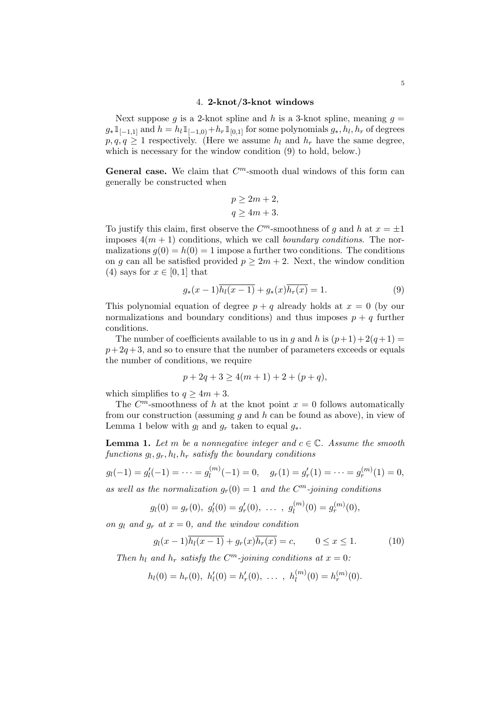## 4. 2-knot/3-knot windows

Next suppose g is a 2-knot spline and h is a 3-knot spline, meaning  $g =$  $g_* 1_{[-1,1]}$  and  $h = h_l 1_{[-1,0)} + h_r 1_{[0,1]}$  for some polynomials  $g_*, h_l, h_r$  of degrees  $p, q, q \geq 1$  respectively. (Here we assume  $h_l$  and  $h_r$  have the same degree, which is necessary for the window condition (9) to hold, below.)

General case. We claim that  $C<sup>m</sup>$ -smooth dual windows of this form can generally be constructed when

$$
p \ge 2m + 2,
$$
  

$$
q \ge 4m + 3.
$$

To justify this claim, first observe the  $C^m$ -smoothness of g and h at  $x = \pm 1$ imposes  $4(m + 1)$  conditions, which we call *boundary conditions*. The normalizations  $g(0) = h(0) = 1$  impose a further two conditions. The conditions on g can all be satisfied provided  $p \geq 2m + 2$ . Next, the window condition (4) says for  $x \in [0, 1]$  that

$$
g_*(x-1)\overline{h_l(x-1)} + g_*(x)\overline{h_r(x)} = 1.
$$
 (9)

This polynomial equation of degree  $p + q$  already holds at  $x = 0$  (by our normalizations and boundary conditions) and thus imposes  $p + q$  further conditions.

The number of coefficients available to us in g and h is  $(p+1)+2(q+1) =$  $p+2q+3$ , and so to ensure that the number of parameters exceeds or equals the number of conditions, we require

$$
p + 2q + 3 \ge 4(m + 1) + 2 + (p + q),
$$

which simplifies to  $q \geq 4m + 3$ .

The  $C^m$ -smoothness of h at the knot point  $x = 0$  follows automatically from our construction (assuming q and  $h$  can be found as above), in view of Lemma 1 below with  $g_l$  and  $g_r$  taken to equal  $g_*$ .

**Lemma 1.** Let m be a nonnegative integer and  $c \in \mathbb{C}$ . Assume the smooth  $functions\ g_l, g_r, h_l, h_r\ satisfy\ the\ boundary\ conditions$ 

$$
g_l(-1) = g'_l(-1) = \cdots = g_l^{(m)}(-1) = 0, \quad g_r(1) = g'_r(1) = \cdots = g_r^{(m)}(1) = 0,
$$

as well as the normalization  $g_r(0) = 1$  and the  $C^m$ -joining conditions

$$
g_l(0) = g_r(0), g'_l(0) = g'_r(0), \ldots, g_l^{(m)}(0) = g_r^{(m)}(0),
$$

on  $q_l$  and  $q_r$  at  $x = 0$ , and the window condition

$$
g_l(x-1)\overline{h_l(x-1)} + g_r(x)\overline{h_r(x)} = c,
$$
  $0 \le x \le 1.$  (10)

Then  $h_l$  and  $h_r$  satisfy the  $C^m$ -joining conditions at  $x=0$ :

$$
h_l(0) = h_r(0), h'_l(0) = h'_r(0), \ldots, h_l^{(m)}(0) = h_r^{(m)}(0).
$$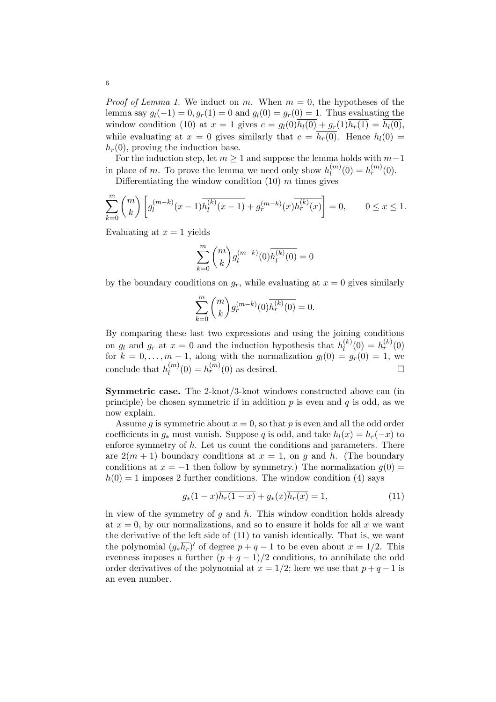*Proof of Lemma 1.* We induct on m. When  $m = 0$ , the hypotheses of the lemma say  $g_l(-1) = 0, g_r(1) = 0$  and  $g_l(0) = g_r(0) = 1$ . Thus evaluating the window condition (10) at  $x = 1$  gives  $c = g_l(0)\overline{h_l(0)} + g_r(1)\overline{h_r(1)} = \overline{h_l(0)}$ , while evaluating at  $x = 0$  gives similarly that  $c = \overline{h_r(0)}$ . Hence  $h_l(0) =$  $h_r(0)$ , proving the induction base.

For the induction step, let  $m \geq 1$  and suppose the lemma holds with  $m-1$ in place of m. To prove the lemma we need only show  $h_l^{(m)}$  $l_1^{(m)}(0) = h_r^{(m)}(0).$ 

Differentiating the window condition  $(10)$  m times gives

$$
\sum_{k=0}^{m} \binom{m}{k} \left[ g_l^{(m-k)}(x-1) \overline{h_l^{(k)}(x-1)} + g_r^{(m-k)}(x) \overline{h_r^{(k)}(x)} \right] = 0, \qquad 0 \le x \le 1.
$$

Evaluating at  $x = 1$  yields

$$
\sum_{k=0}^{m} {m \choose k} g_l^{(m-k)}(0) \overline{h_l^{(k)}(0)} = 0
$$

by the boundary conditions on  $g_r$ , while evaluating at  $x = 0$  gives similarly

$$
\sum_{k=0}^{m} \binom{m}{k} g_r^{(m-k)}(0) \overline{h_r^{(k)}(0)} = 0.
$$

By comparing these last two expressions and using the joining conditions on  $g_l$  and  $g_r$  at  $x = 0$  and the induction hypothesis that  $h_l^{(k)}$  $\binom{k}{l}(0) = h_r^{(k)}(0)$ for  $k = 0, \ldots, m-1$ , along with the normalization  $g_l(0) = g_r(0) = 1$ , we conclude that  $h_l^{(m)}$  $l_0^{(m)}(0) = h_r^{(m)}(0)$  as desired.

Symmetric case. The 2-knot/3-knot windows constructed above can (in principle) be chosen symmetric if in addition  $p$  is even and  $q$  is odd, as we now explain.

Assume g is symmetric about  $x = 0$ , so that p is even and all the odd order coefficients in  $g_*$  must vanish. Suppose q is odd, and take  $h_l(x) = h_r(-x)$  to enforce symmetry of  $h$ . Let us count the conditions and parameters. There are  $2(m + 1)$  boundary conditions at  $x = 1$ , on q and h. (The boundary conditions at  $x = -1$  then follow by symmetry.) The normalization  $g(0) =$  $h(0) = 1$  imposes 2 further conditions. The window condition (4) says

$$
g_*(1-x)\overline{h_r(1-x)} + g_*(x)\overline{h_r(x)} = 1,
$$
\n(11)

in view of the symmetry of  $g$  and  $h$ . This window condition holds already at  $x = 0$ , by our normalizations, and so to ensure it holds for all x we want the derivative of the left side of (11) to vanish identically. That is, we want the polynomial  $(g_*\overline{h_r})'$  of degree  $p+q-1$  to be even about  $x=1/2$ . This evenness imposes a further  $(p+q-1)/2$  conditions, to annihilate the odd order derivatives of the polynomial at  $x = 1/2$ ; here we use that  $p + q - 1$  is an even number.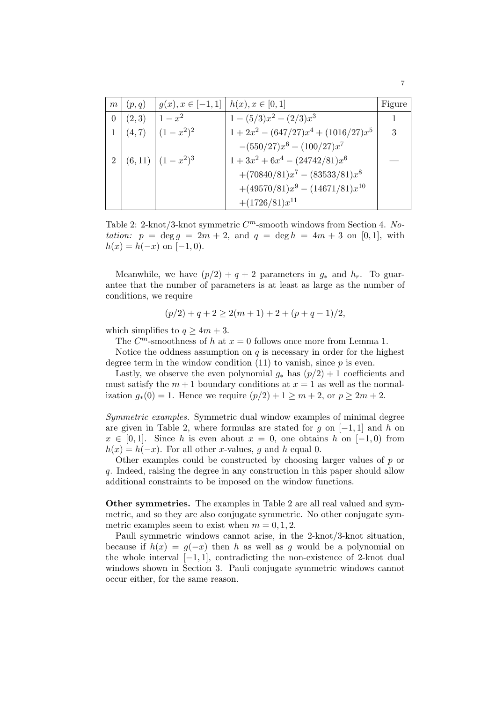| m              | (p,q)  | $g(x), x \in [-1,1]$   $h(x), x \in [0,1]$ |                                         | Figure |
|----------------|--------|--------------------------------------------|-----------------------------------------|--------|
| $\overline{0}$ | (2,3)  | $1-x^2$                                    | $1-(5/3)x^2+(2/3)x^3$                   | 1      |
|                | (4, 7) | $(1-x^2)^2$                                | $1 + 2x^2 - (647/27)x^4 + (1016/27)x^5$ | 3      |
|                |        |                                            | $-(550/27)x^{6}+(100/27)x^{7}$          |        |
| $\overline{2}$ |        | $(6,11)$ $(1-x^2)^3$                       | $1+3x^2+6x^4-(24742/81)x^6$             |        |
|                |        |                                            | $+(70840/81)x^{7}-(83533/81)x^{8}$      |        |
|                |        |                                            | $+(49570/81)x^9-(14671/81)x^{10}$       |        |
|                |        |                                            | $+(1726/81)x^{11}$                      |        |

Table 2: 2-knot/3-knot symmetric  $C^m$ -smooth windows from Section 4. Notation:  $p = \deg q = 2m + 2$ , and  $q = \deg h = 4m + 3$  on [0, 1], with  $h(x) = h(-x)$  on [-1,0).

Meanwhile, we have  $(p/2) + q + 2$  parameters in  $g_*$  and  $h_r$ . To guarantee that the number of parameters is at least as large as the number of conditions, we require

$$
(p/2) + q + 2 \ge 2(m+1) + 2 + (p+q-1)/2,
$$

which simplifies to  $q \geq 4m + 3$ .

The  $C^m$ -smoothness of h at  $x = 0$  follows once more from Lemma 1.

Notice the oddness assumption on  $q$  is necessary in order for the highest degree term in the window condition  $(11)$  to vanish, since p is even.

Lastly, we observe the even polynomial  $q_*$  has  $(p/2) + 1$  coefficients and must satisfy the  $m + 1$  boundary conditions at  $x = 1$  as well as the normalization  $g_*(0) = 1$ . Hence we require  $(p/2) + 1 \ge m + 2$ , or  $p \ge 2m + 2$ .

Symmetric examples. Symmetric dual window examples of minimal degree are given in Table 2, where formulas are stated for q on  $[-1, 1]$  and h on  $x \in [0,1]$ . Since h is even about  $x = 0$ , one obtains h on  $[-1,0)$  from  $h(x) = h(-x)$ . For all other x-values, g and h equal 0.

Other examples could be constructed by choosing larger values of  $p$  or q. Indeed, raising the degree in any construction in this paper should allow additional constraints to be imposed on the window functions.

Other symmetries. The examples in Table 2 are all real valued and symmetric, and so they are also conjugate symmetric. No other conjugate symmetric examples seem to exist when  $m = 0, 1, 2$ .

Pauli symmetric windows cannot arise, in the 2-knot/3-knot situation, because if  $h(x) = g(-x)$  then h as well as g would be a polynomial on the whole interval  $[-1, 1]$ , contradicting the non-existence of 2-knot dual windows shown in Section 3. Pauli conjugate symmetric windows cannot occur either, for the same reason.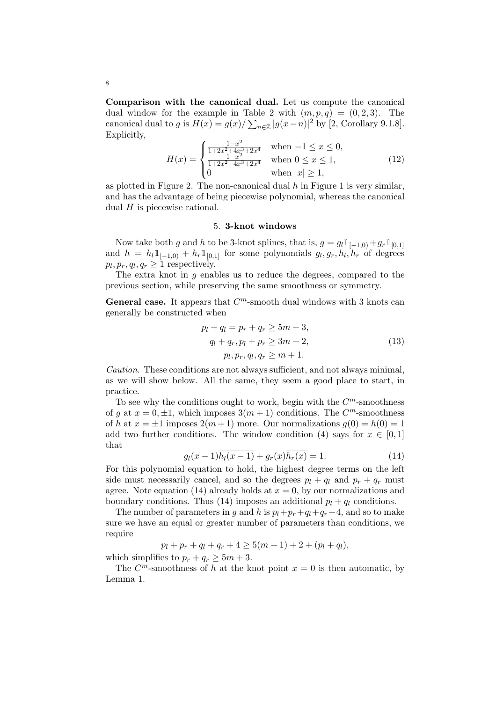Comparison with the canonical dual. Let us compute the canonical dual window for the example in Table 2 with  $(m, p, q) = (0, 2, 3)$ . The canonical dual to g is  $H(x) = g(x)/\sum_{n \in \mathbb{Z}} |g(x-n)|^2$  by [2, Corollary 9.1.8]. Explicitly,  $\overline{a}$ 

$$
H(x) = \begin{cases} \frac{1-x^2}{1+2x^2+4x^3+2x^4} & \text{when } -1 \le x \le 0, \\ \frac{1-x^2}{1+2x^2-4x^3+2x^4} & \text{when } 0 \le x \le 1, \\ 0 & \text{when } |x| \ge 1, \end{cases}
$$
(12)

as plotted in Figure 2. The non-canonical dual  $h$  in Figure 1 is very similar, and has the advantage of being piecewise polynomial, whereas the canonical dual  $H$  is piecewise rational.

## 5. 3-knot windows

Now take both g and h to be 3-knot splines, that is,  $g = g_l \mathbb{1}_{[-1,0)} + g_r \mathbb{1}_{[0,1]}$ and  $h = h_l \mathbb{1}_{[-1,0]} + h_r \mathbb{1}_{[0,1]}$  for some polynomials  $g_l, g_r, h_l, h_r$  of degrees  $p_l, p_r, q_l, q_r \geq 1$  respectively.

The extra knot in  $g$  enables us to reduce the degrees, compared to the previous section, while preserving the same smoothness or symmetry.

**General case.** It appears that  $C^m$ -smooth dual windows with 3 knots can generally be constructed when

$$
p_l + q_l = p_r + q_r \ge 5m + 3,
$$
  
\n
$$
q_l + q_r, p_l + p_r \ge 3m + 2,
$$
  
\n
$$
p_l, p_r, q_l, q_r \ge m + 1.
$$
\n(13)

Caution. These conditions are not always sufficient, and not always minimal, as we will show below. All the same, they seem a good place to start, in practice.

To see why the conditions ought to work, begin with the  $C<sup>m</sup>$ -smoothness of g at  $x = 0, \pm 1$ , which imposes  $3(m + 1)$  conditions. The  $C<sup>m</sup>$ -smoothness of h at  $x = \pm 1$  imposes  $2(m+1)$  more. Our normalizations  $g(0) = h(0) = 1$ add two further conditions. The window condition (4) says for  $x \in [0,1]$ that

$$
g_l(x-1)\overline{h_l(x-1)} + g_r(x)\overline{h_r(x)} = 1.
$$
\n(14)

For this polynomial equation to hold, the highest degree terms on the left side must necessarily cancel, and so the degrees  $p_l + q_l$  and  $p_r + q_r$  must agree. Note equation (14) already holds at  $x = 0$ , by our normalizations and boundary conditions. Thus (14) imposes an additional  $p_l + q_l$  conditions.

The number of parameters in g and h is  $p_l+p_r+q_l+q_r+4$ , and so to make sure we have an equal or greater number of parameters than conditions, we require

$$
p_l + p_r + q_l + q_r + 4 \ge 5(m+1) + 2 + (p_l + q_l),
$$

which simplifies to  $p_r + q_r \geq 5m + 3$ .

The  $C^m$ -smoothness of h at the knot point  $x = 0$  is then automatic, by Lemma 1.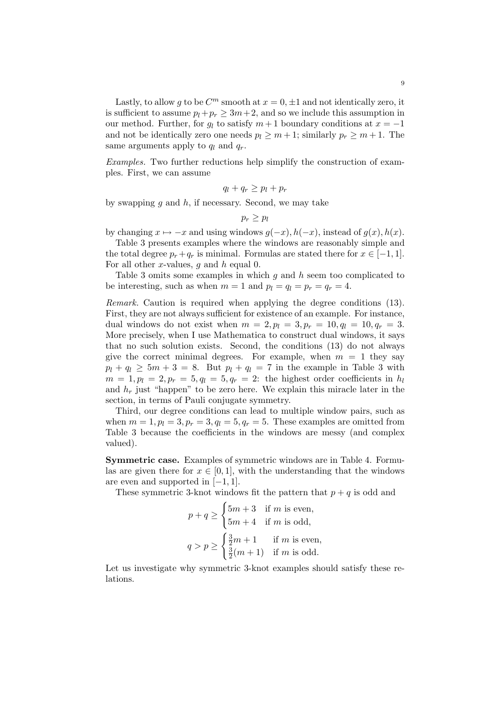Lastly, to allow g to be  $C^m$  smooth at  $x = 0, \pm 1$  and not identically zero, it is sufficient to assume  $p_l+p_r \geq 3m+2$ , and so we include this assumption in our method. Further, for  $q_l$  to satisfy  $m+1$  boundary conditions at  $x = -1$ and not be identically zero one needs  $p_l \geq m+1$ ; similarly  $p_r \geq m+1$ . The same arguments apply to  $q_l$  and  $q_r$ .

Examples. Two further reductions help simplify the construction of examples. First, we can assume

$$
q_l + q_r \geq p_l + p_r
$$

by swapping  $q$  and  $h$ , if necessary. Second, we may take

$$
p_r \geq p_l
$$

by changing  $x \mapsto -x$  and using windows  $g(-x)$ ,  $h(-x)$ , instead of  $g(x)$ ,  $h(x)$ .

Table 3 presents examples where the windows are reasonably simple and the total degree  $p_r + q_r$  is minimal. Formulas are stated there for  $x \in [-1, 1]$ . For all other x-values,  $g$  and  $h$  equal 0.

Table 3 omits some examples in which  $g$  and  $h$  seem too complicated to be interesting, such as when  $m = 1$  and  $p_l = q_l = p_r = q_r = 4$ .

Remark. Caution is required when applying the degree conditions (13). First, they are not always sufficient for existence of an example. For instance, dual windows do not exist when  $m = 2$ ,  $p_l = 3$ ,  $p_r = 10$ ,  $q_l = 10$ ,  $q_r = 3$ . More precisely, when I use Mathematica to construct dual windows, it says that no such solution exists. Second, the conditions (13) do not always give the correct minimal degrees. For example, when  $m = 1$  they say  $p_l + q_l \geq 5m + 3 = 8$ . But  $p_l + q_l = 7$  in the example in Table 3 with  $m = 1, p_l = 2, p_r = 5, q_l = 5, q_r = 2$ : the highest order coefficients in  $h_l$ and  $h_r$  just "happen" to be zero here. We explain this miracle later in the section, in terms of Pauli conjugate symmetry.

Third, our degree conditions can lead to multiple window pairs, such as when  $m = 1$ ,  $p_l = 3$ ,  $p_r = 3$ ,  $q_l = 5$ ,  $q_r = 5$ . These examples are omitted from Table 3 because the coefficients in the windows are messy (and complex valued).

Symmetric case. Examples of symmetric windows are in Table 4. Formulas are given there for  $x \in [0, 1]$ , with the understanding that the windows are even and supported in  $[-1, 1]$ .

These symmetric 3-knot windows fit the pattern that  $p + q$  is odd and  $\tilde{\ }$ 

$$
p + q \ge \begin{cases} 5m + 3 & \text{if } m \text{ is even,} \\ 5m + 4 & \text{if } m \text{ is odd,} \end{cases}
$$

$$
q > p \ge \begin{cases} \frac{3}{2}m + 1 & \text{if } m \text{ is even,} \\ \frac{3}{2}(m + 1) & \text{if } m \text{ is odd.} \end{cases}
$$

Let us investigate why symmetric 3-knot examples should satisfy these relations.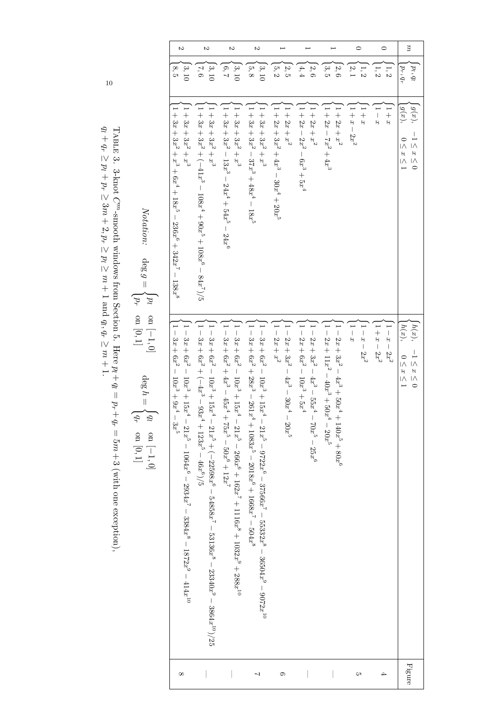| Z                                                                                                                             | S                                                                                                                                                        | $\sim$                                                                                                                             | S                                                                                                                                                                    |                                                          |                                                                  |                                                                                       | $\circ$               | $\circ$                  | $\mu$                                                              |
|-------------------------------------------------------------------------------------------------------------------------------|----------------------------------------------------------------------------------------------------------------------------------------------------------|------------------------------------------------------------------------------------------------------------------------------------|----------------------------------------------------------------------------------------------------------------------------------------------------------------------|----------------------------------------------------------|------------------------------------------------------------------|---------------------------------------------------------------------------------------|-----------------------|--------------------------|--------------------------------------------------------------------|
| $\left[ 3, 10 \right]$<br>8,5                                                                                                 | $\frac{3,10}{3,10}$<br>7,6                                                                                                                               | [3, 10]<br>6,7                                                                                                                     | $\frac{3,10}{2,10}$<br> 5, 8                                                                                                                                         | $\left[\frac{2}{2},\frac{5}{2}\right]$<br>5,2            | $\left  4, 4 \right\rangle$<br>2,6                               | $\left 3,5\right\rangle$<br>2,6                                                       | $\frac{1}{2}$<br>2,1  | 1, 2<br>1,2              | $p_l, q_l$<br>$p_r, q_r$                                           |
| $1+3x+3x^2+x^3+6x^4+18x^5-236x^6+342x^7-138x^8$<br>$1 + 3x + 3x^2 + x^3$                                                      | $1 + 3x + 3x^2 + x^3$<br>$1 + 3x^2 + (-41x^3 - 108x^4 + 90x^6 - 84x^7)/5$                                                                                | $1 + 3x + 3x^2 - 13x^3 - 24x^4 + 54x^5 - 24x^6$<br>$1 + 3x + 3x^2 + x^3$                                                           | $1 + 3x + 3x^2 - 37x^3 + 48x^4 - 18x^5$<br>$1+3x+3x^2+x^3$                                                                                                           | $1+2x+x^2$<br>$1+2x+3x^2+4x^3-30x^4+20x^5$               | $1 + 2x - 2x^2 - 6x^3 + 5x^4$<br>$1+2x+x^2$                      | $1+2x+x^2$<br>$1+2x-7x^2+4x^3$                                                        | $1+x-2x^2$<br>$x + 1$ | $x + 1$<br>$x - 1$       | $\vert g(x),$<br>$g(x)$ ,<br>$-1 \leq x \leq 0$<br>$0 \leq x \leq$ |
| $1-3x+6x^2-10x^3+9x^4$<br>$-3x + 6x^2 - 10x^3 + 15x^4 - 21x^5 - 1064x^6 - 2934x^7 - 3384x^8 - 1872x^9 - 414x^{10}$<br>$-3x^5$ | $-3x + 6x^2 + (-4x^3 - 93x^4 + 123x^5 - 46x^6)/5$<br>$-3x + 6x^2 - 10x^3 + 15x^4 - 21x^5 + (-22598x^6 - 54858x^7 - 53136x^8 - 23340x^9 - 3864x^{10})/25$ | $-3x + 6x^2 + 4x^3 - 45x^4 + 75x^5 - 50x^6 + 12x^7$<br>$-3x + 6x2 - 10x3 + 15x4 - 21x5 - 266x6 + 162x7 + 1116x8 + 1032x9 + 288x10$ | $-3x + 6x^2 + 28x^3 - 261x^4 + 1083x^5 - 2018x^6 + 1668x^7 - 504x^8$<br>$-3x + 6x^2 - 10x^3 + 15x^4 - 21x^5 - 9722x^6 - 37566x^7 - 55332x^8 - 36504x^9 - 9072x^{10}$ | $-2x + 3x^2 - 4x^3 - 30x^4$<br>$-2x+x^2$<br>$^* - 20x^5$ | $1-2x+6x^2-10x^3+5x^4$<br>$-2x + 3x2 - 4x3 - 55x4 - 70x5 - 25x6$ | $-2x + 3x^2 - 4x^3 + 50x^4 + 140x^5 + 80x^6$<br>$-2x + 11x^2 - 40x^3 + 50x^4 - 20x^5$ | $-x - 2x^2$<br>$x -$  | $1-x-2x^2$<br>$1+x-2x^2$ | (h(x),<br>h(x),<br>$-1 \leq x \leq 0$<br>$0 \leq x \leq 0$         |
| $^{\circ}$                                                                                                                    |                                                                                                                                                          |                                                                                                                                    | ┙                                                                                                                                                                    | ⊝                                                        |                                                                  |                                                                                       | CΠ                    | 4                        | ${\rm Figure}$                                                     |

$$
Notation: \quad \deg g = \begin{cases} p_l & \text{on } [-1, 0] \\ p_r & \text{on } [0, 1] \end{cases} \qquad \deg h = \begin{cases} q_l & \text{on } [-1, 0] \\ q_r & \text{on } [0, 1] \end{cases}
$$

Table 3. 3-knot C m-smooth windows from Section 5. Here  $p_l + q_l =$  $p_r+q_r$  $\frac{|}{c}$  $\mathfrak{p}$  $+$  3 (with one exception).  $q_l + q_r \geq$  $p_l$  $p_r \geq$ 3 m +<br>ب  $_{2,P_r}\geq$  $\frac{p_l}{\geq 1}$  $\mathfrak{p}$ + 1 and  $q_l, q_r \geq$  $\mathfrak{p}$  $_{\mathrm{+}}^+$ 

10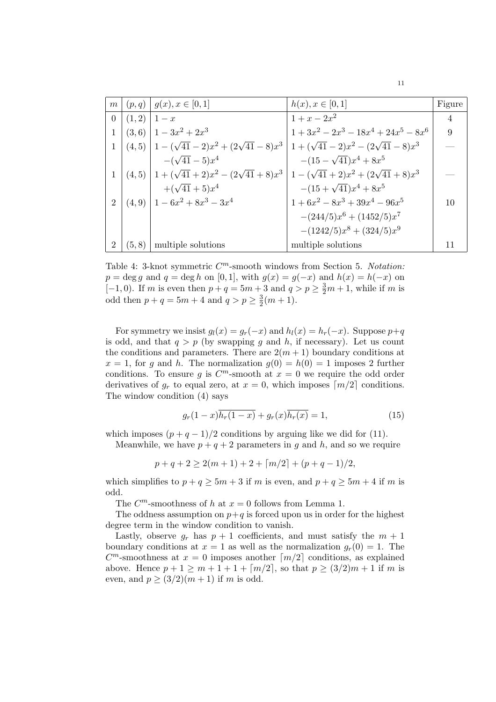| m <sub>1</sub>              |                   | $\mid (p,q) \mid g(x), x \in [0,1]$                                                 | $h(x), x \in [0,1]$             | Figure |
|-----------------------------|-------------------|-------------------------------------------------------------------------------------|---------------------------------|--------|
|                             | $0   (1,2)   1-x$ |                                                                                     | $1 + x - 2x^2$                  | 4      |
|                             |                   | $1 (3,6) 1-3x^2+2x^3$                                                               | $1+3x^2-2x^3-18x^4+24x^5-8x^6$  | 9      |
|                             |                   | $1 (4,5) 1-(\sqrt{41}-2)x^2+(2\sqrt{41}-8)x^3 1+(\sqrt{41}-2)x^2-(2\sqrt{41}-8)x^3$ |                                 |        |
|                             |                   | $-(\sqrt{41}-5)x^4$                                                                 | $-(15-\sqrt{41})x^4+8x^5$       |        |
|                             |                   | $1 (4,5) 1+(\sqrt{41}+2)x^2-(2\sqrt{41}+8)x^3 1-(\sqrt{41}+2)x^2+(2\sqrt{41}+8)x^3$ |                                 |        |
|                             |                   | $+(\sqrt{41}+5)x^4$                                                                 | $-(15+\sqrt{41})x^4+8x^5$       |        |
| $\mathcal{D}_{\mathcal{L}}$ |                   | $(4,9)$   $1-6x^2+8x^3-3x^4$                                                        | $1+6x^2-8x^3+39x^4-96x^5$       | 10     |
|                             |                   |                                                                                     | $-(244/5)x^{6} + (1452/5)x^{7}$ |        |
|                             |                   |                                                                                     | $-(1242/5)x^{8} + (324/5)x^{9}$ |        |
|                             | (5,8)             | multiple solutions                                                                  | multiple solutions              |        |

Table 4: 3-knot symmetric  $C^m$ -smooth windows from Section 5. Notation:  $p = \deg g$  and  $q = \deg h$  on [0, 1], with  $g(x) = g(-x)$  and  $h(x) = h(-x)$  on [-1,0). If m is even then  $p+q=5m+3$  and  $q>p\geq \frac{3}{2}m+1$ , while if m is odd then  $p + q = 5m + 4$  and  $q > p \geq \frac{3}{2}$  $\frac{3}{2}(m+1).$ 

For symmetry we insist  $g_l(x) = g_r(-x)$  and  $h_l(x) = h_r(-x)$ . Suppose  $p+q$ is odd, and that  $q > p$  (by swapping g and h, if necessary). Let us count the conditions and parameters. There are  $2(m+1)$  boundary conditions at  $x = 1$ , for g and h. The normalization  $g(0) = h(0) = 1$  imposes 2 further conditions. To ensure g is  $C^m$ -smooth at  $x = 0$  we require the odd order derivatives of  $g_r$  to equal zero, at  $x = 0$ , which imposes  $\lceil m/2 \rceil$  conditions. The window condition (4) says

$$
g_r(1-x)\overline{h_r(1-x)} + g_r(x)\overline{h_r(x)} = 1,
$$
\n(15)

which imposes  $(p+q-1)/2$  conditions by arguing like we did for (11).

Meanwhile, we have  $p + q + 2$  parameters in g and h, and so we require

$$
p + q + 2 \ge 2(m + 1) + 2 + \lceil m/2 \rceil + (p + q - 1)/2,
$$

which simplifies to  $p + q \ge 5m + 3$  if m is even, and  $p + q \ge 5m + 4$  if m is odd.

The  $C^m$ -smoothness of h at  $x = 0$  follows from Lemma 1.

The oddness assumption on  $p+q$  is forced upon us in order for the highest degree term in the window condition to vanish.

Lastly, observe  $q_r$  has  $p + 1$  coefficients, and must satisfy the  $m + 1$ boundary conditions at  $x = 1$  as well as the normalization  $g_r(0) = 1$ . The  $C<sup>m</sup>$ -smoothness at  $x = 0$  imposes another  $\lceil m/2 \rceil$  conditions, as explained above. Hence  $p + 1 \ge m + 1 + \lfloor m/2 \rfloor$ , so that  $p \ge (3/2)m + 1$  if m is even, and  $p \geq (3/2)(m+1)$  if m is odd.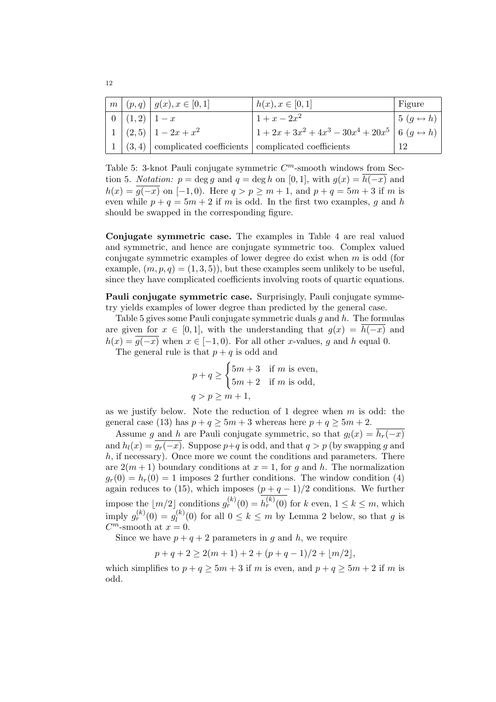|                | $m (p,q) g(x), x \in [0,1]$                                   | $h(x), x \in [0,1]$                                              | Figure                                |
|----------------|---------------------------------------------------------------|------------------------------------------------------------------|---------------------------------------|
| $0 (1,2) 1-x $ |                                                               | $1 + x - 2x^2$                                                   | $\vert 5 (q \leftrightarrow h) \vert$ |
|                | $1 (2,5) 1-2x+x^2$                                            | $1 + 2x + 3x^2 + 4x^3 - 30x^4 + 20x^5$ 6 (g $\leftrightarrow$ h) |                                       |
|                | $1   (3,4)$ complicated coefficients complicated coefficients |                                                                  |                                       |

Table 5: 3-knot Pauli conjugate symmetric  $C<sup>m</sup>$ -smooth windows from Section 5. Notation:  $p = \deg q$  and  $q = \deg h$  on [0, 1], with  $q(x) = \overline{h(-x)}$  and  $h(x) = \overline{g(-x)}$  on  $[-1, 0)$ . Here  $q > p \ge m + 1$ , and  $p + q = 5m + 3$  if m is even while  $p + q = 5m + 2$  if m is odd. In the first two examples, q and h should be swapped in the corresponding figure.

Conjugate symmetric case. The examples in Table 4 are real valued and symmetric, and hence are conjugate symmetric too. Complex valued conjugate symmetric examples of lower degree do exist when  $m$  is odd (for example,  $(m, p, q) = (1, 3, 5)$ , but these examples seem unlikely to be useful, since they have complicated coefficients involving roots of quartic equations.

Pauli conjugate symmetric case. Surprisingly, Pauli conjugate symmetry yields examples of lower degree than predicted by the general case.

Table 5 gives some Pauli conjugate symmetric duals  $q$  and  $h$ . The formulas are given for  $x \in [0,1]$ , with the understanding that  $g(x) = h(-x)$  and  $h(x) = \overline{g(-x)}$  when  $x \in [-1, 0)$ . For all other x-values, g and h equal 0.

The general rule is that  $p + q$  is odd and  $\frac{1}{2}$ 

$$
p + q \ge \begin{cases} 5m + 3 & \text{if } m \text{ is even,} \\ 5m + 2 & \text{if } m \text{ is odd,} \end{cases}
$$
  

$$
q > p \ge m + 1,
$$

as we justify below. Note the reduction of 1 degree when  $m$  is odd: the general case (13) has  $p + q \ge 5m + 3$  whereas here  $p + q \ge 5m + 2$ .

Assume g and h are Pauli conjugate symmetric, so that  $g_l(x) = \overline{h_r(-x)}$ and  $h_l(x) = g_r(-x)$ . Suppose  $p+q$  is odd, and that  $q > p$  (by swapping g and  $h$ , if necessary). Once more we count the conditions and parameters. There are  $2(m+1)$  boundary conditions at  $x=1$ , for g and h. The normalization  $g_r(0) = h_r(0) = 1$  imposes 2 further conditions. The window condition (4) again reduces to (15), which imposes  $(p+q-1)/2$  conditions. We further impose the  $\lfloor m/2 \rfloor$  conditions  $g_r^{(k)}(0) = h_r^{(k)}(0)$  for k even,  $1 \le k \le m$ , which imply  $g_r^{(k)}(0) = g_l^{(k)}$  $\binom{k}{l}(0)$  for all  $0 \leq k \leq m$  by Lemma 2 below, so that g is  $C^m$ -smooth at  $x = 0$ .

Since we have  $p + q + 2$  parameters in q and h, we require

 $p + q + 2 \geq 2(m + 1) + 2 + (p + q - 1)/2 + |m/2|$ ,

which simplifies to  $p + q \ge 5m + 3$  if m is even, and  $p + q \ge 5m + 2$  if m is odd.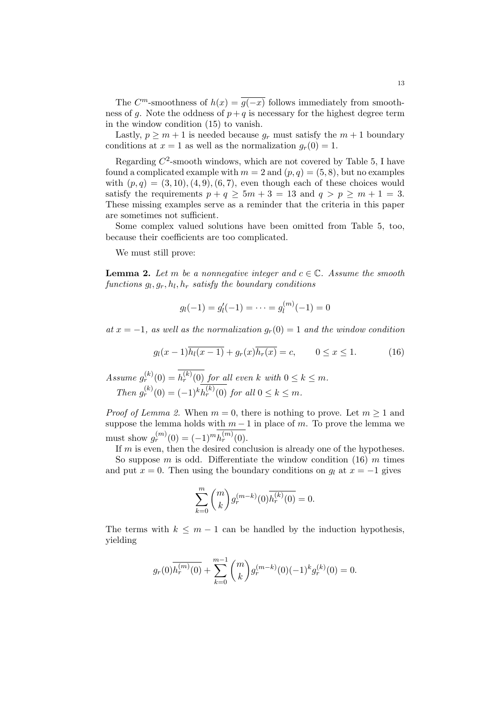The  $C^m$ -smoothness of  $h(x) = \overline{g(-x)}$  follows immediately from smoothness of g. Note the oddness of  $p + q$  is necessary for the highest degree term in the window condition (15) to vanish.

Lastly,  $p \geq m+1$  is needed because  $g_r$  must satisfy the  $m+1$  boundary conditions at  $x = 1$  as well as the normalization  $g_r(0) = 1$ .

Regarding  $C^2$ -smooth windows, which are not covered by Table 5, I have found a complicated example with  $m = 2$  and  $(p, q) = (5, 8)$ , but no examples with  $(p, q) = (3, 10), (4, 9), (6, 7)$ , even though each of these choices would satisfy the requirements  $p + q \geq 5m + 3 = 13$  and  $q > p \geq m + 1 = 3$ . These missing examples serve as a reminder that the criteria in this paper are sometimes not sufficient.

Some complex valued solutions have been omitted from Table 5, too, because their coefficients are too complicated.

We must still prove:

**Lemma 2.** Let m be a nonnegative integer and  $c \in \mathbb{C}$ . Assume the smooth  $functions\ g_l, g_r, h_l, h_r\ satisfy\ the\ boundary\ conditions$ 

$$
g_l(-1) = g'_l(-1) = \dots = g_l^{(m)}(-1) = 0
$$

at  $x = -1$ , as well as the normalization  $g_r(0) = 1$  and the window condition

$$
g_l(x-1)\overline{h_l(x-1)} + g_r(x)\overline{h_r(x)} = c, \qquad 0 \le x \le 1.
$$
 (16)

Assume  $g_r^{(k)}(0) = h_r^{(k)}(0)$  for all even k with  $0 \leq k \leq m$ . Then  $g_r^{(k)}(0) = (-1)^k h_r^{(k)}(0)$  for all  $0 \le k \le m$ .

*Proof of Lemma 2.* When  $m = 0$ , there is nothing to prove. Let  $m \ge 1$  and suppose the lemma holds with  $m-1$  in place of m. To prove the lemma we must show  $g_r^{(m)}(0) = (-1)^m h_r^{(m)}(0)$ .

If m is even, then the desired conclusion is already one of the hypotheses. So suppose m is odd. Differentiate the window condition  $(16)$  m times and put  $x = 0$ . Then using the boundary conditions on  $g_l$  at  $x = -1$  gives

$$
\sum_{k=0}^{m} {m \choose k} g_r^{(m-k)}(0) \overline{h_r^{(k)}(0)} = 0.
$$

The terms with  $k \leq m-1$  can be handled by the induction hypothesis, yielding

$$
g_r(0) \overline{h_r^{(m)}(0)} + \sum_{k=0}^{m-1} \binom{m}{k} g_r^{(m-k)}(0) (-1)^k g_r^{(k)}(0) = 0.
$$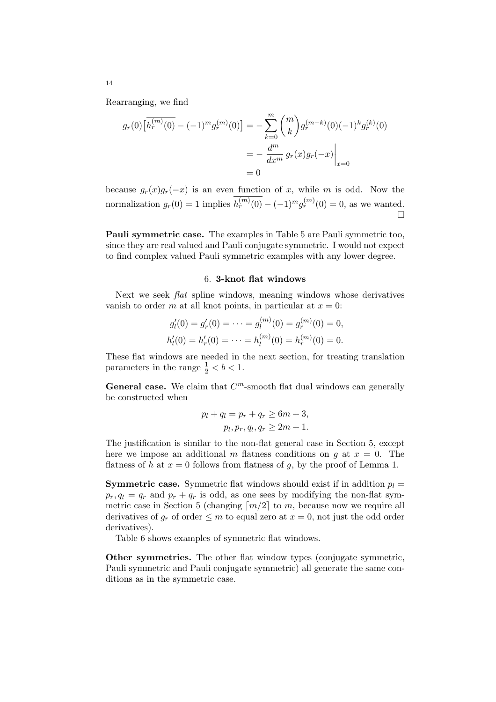Rearranging, we find

$$
g_r(0) \left[ \overline{h_r^{(m)}(0)} - (-1)^m g_r^{(m)}(0) \right] = -\sum_{k=0}^m {m \choose k} g_r^{(m-k)}(0) (-1)^k g_r^{(k)}(0)
$$

$$
= -\frac{d^m}{dx^m} g_r(x) g_r(-x) \Big|_{x=0}
$$

$$
= 0
$$

because  $g_r(x)g_r(-x)$  is an even function of x, while m is odd. Now the normalization  $g_r(0) = 1$  implies  $h_r^{(m)}(0) - (-1)^m g_r^{(m)}(0) = 0$ , as we wanted. ¤

Pauli symmetric case. The examples in Table 5 are Pauli symmetric too, since they are real valued and Pauli conjugate symmetric. I would not expect to find complex valued Pauli symmetric examples with any lower degree.

## 6. 3-knot flat windows

Next we seek flat spline windows, meaning windows whose derivatives vanish to order m at all knot points, in particular at  $x = 0$ :

$$
g'_l(0) = g'_r(0) = \dots = g_l^{(m)}(0) = g_r^{(m)}(0) = 0,
$$
  

$$
h'_l(0) = h'_r(0) = \dots = h_l^{(m)}(0) = h_r^{(m)}(0) = 0.
$$

These flat windows are needed in the next section, for treating translation parameters in the range  $\frac{1}{2} < b < 1$ .

General case. We claim that  $C<sup>m</sup>$ -smooth flat dual windows can generally be constructed when

$$
p_l + q_l = p_r + q_r \ge 6m + 3,
$$
  

$$
p_l, p_r, q_l, q_r \ge 2m + 1.
$$

The justification is similar to the non-flat general case in Section 5, except here we impose an additional m flatness conditions on g at  $x = 0$ . The flatness of h at  $x = 0$  follows from flatness of g, by the proof of Lemma 1.

**Symmetric case.** Symmetric flat windows should exist if in addition  $p_l =$  $p_r, q_l = q_r$  and  $p_r + q_r$  is odd, as one sees by modifying the non-flat symmetric case in Section 5 (changing  $\lceil m/2 \rceil$  to m, because now we require all derivatives of  $q_r$  of order  $\leq m$  to equal zero at  $x = 0$ , not just the odd order derivatives).

Table 6 shows examples of symmetric flat windows.

Other symmetries. The other flat window types (conjugate symmetric, Pauli symmetric and Pauli conjugate symmetric) all generate the same conditions as in the symmetric case.

14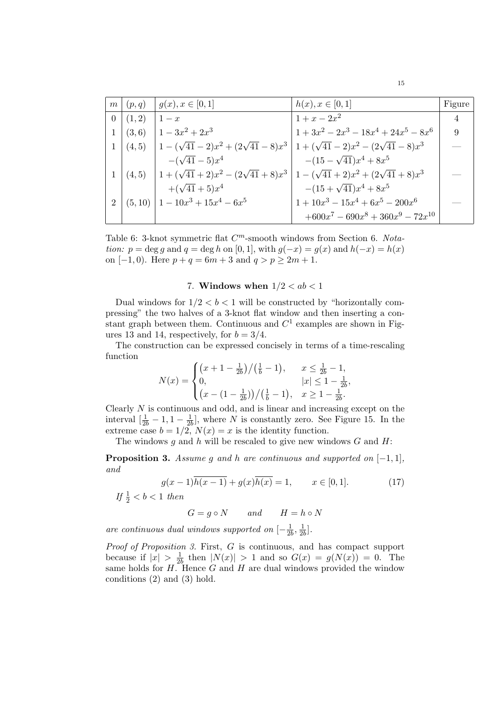|                |                | $m (p,q)    g(x), x \in [0,1]$                                                           | $h(x), x \in [0,1]$                    | Figure |
|----------------|----------------|------------------------------------------------------------------------------------------|----------------------------------------|--------|
|                | $0 (1,2) 1-x $ |                                                                                          | $1 + x - 2x^2$                         | 4      |
| 1 <sup>1</sup> |                | $(3,6)$ $1-3x^2+2x^3$                                                                    | $1+3x^2-2x^3-18x^4+24x^5-8x^6$         | 9      |
|                |                | $1 (4,5)    1-(\sqrt{41}-2)x^2+(2\sqrt{41}-8)x^3   1+(\sqrt{41}-2)x^2-(2\sqrt{41}-8)x^3$ |                                        |        |
|                |                | $-(\sqrt{41}-5)x^4$                                                                      | $-(15-\sqrt{41})x^4+8x^5$              |        |
|                |                | $1 (4,5) 1+(\sqrt{41}+2)x^2-(2\sqrt{41}+8)x^3 1-(\sqrt{41}+2)x^2+(2\sqrt{41}+8)x^3$      |                                        |        |
|                |                | $+(\sqrt{41}+5)x^4$                                                                      | $-(15+\sqrt{41})x^4+8x^5$              |        |
| $2^{\circ}$    |                | $(5,10)$   $1-10x^3+15x^4-6x^5$                                                          | $1 + 10x^3 - 15x^4 + 6x^5 - 200x^6$    |        |
|                |                |                                                                                          | $+600x^7 - 690x^8 + 360x^9 - 72x^{10}$ |        |

Table 6: 3-knot symmetric flat  $C<sup>m</sup>$ -smooth windows from Section 6. Notation:  $p = \deg g$  and  $q = \deg h$  on [0, 1], with  $g(-x) = g(x)$  and  $h(-x) = h(x)$ on  $[-1, 0)$ . Here  $p + q = 6m + 3$  and  $q > p \ge 2m + 1$ .

# 7. Windows when  $1/2 < ab < 1$

Dual windows for  $1/2 < b < 1$  will be constructed by "horizontally compressing" the two halves of a 3-knot flat window and then inserting a constant graph between them. Continuous and  $C<sup>1</sup>$  examples are shown in Figures 13 and 14, respectively, for  $b = 3/4$ .

The construction can be expressed concisely in terms of a time-rescaling function  $\overline{a}$ ¡ ¢

$$
N(x) = \begin{cases} \left(x+1-\frac{1}{2b}\right)/\left(\frac{1}{b}-1\right), & x \le \frac{1}{2b}-1, \\ 0, & |x| \le 1-\frac{1}{2b}, \\ \left(x-(1-\frac{1}{2b})\right)/\left(\frac{1}{b}-1\right), & x \ge 1-\frac{1}{2b}. \end{cases}
$$

Clearly  $N$  is continuous and odd, and is linear and increasing except on the interval  $\left[\frac{1}{2b} - 1, 1 - \frac{1}{2b}\right]$  $\frac{1}{2b}$ , where N is constantly zero. See Figure 15. In the extreme case  $b = 1/2$ ,  $N(x) = x$  is the identity function.

The windows  $g$  and  $h$  will be rescaled to give new windows  $G$  and  $H$ :

**Proposition 3.** Assume g and h are continuous and supported on  $[-1, 1]$ , and

$$
g(x-1)\overline{h(x-1)} + g(x)\overline{h(x)} = 1, \qquad x \in [0,1].
$$
 (17)  
If  $\frac{1}{2} < b < 1$  then

$$
G = g \circ N \qquad and \qquad H = h \circ N
$$

are continuous dual windows supported on  $[-\frac{1}{2}$  $\frac{1}{2b}, \frac{1}{2b}$  $\frac{1}{2b}$ .

Proof of Proposition 3. First, G is continuous, and has compact support because if  $|x| > \frac{1}{2l}$  $\frac{1}{2b}$  then  $|N(x)| > 1$  and so  $G(x) = g(N(x)) = 0$ . The same holds for  $H$ . Hence  $G$  and  $H$  are dual windows provided the window conditions (2) and (3) hold.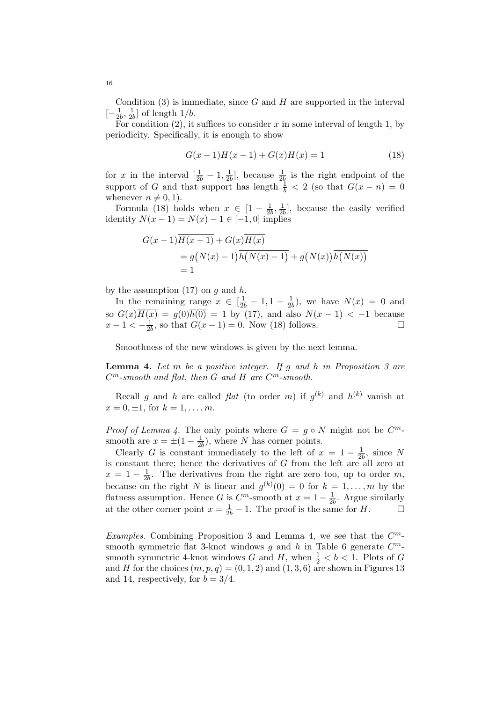Condition  $(3)$  is immediate, since G and H are supported in the interval  $[-\frac{1}{2}]$  $\frac{1}{2b}, \frac{1}{2b}$  $\frac{1}{2b}$  of length  $1/b$ .

For condition  $(2)$ , it suffices to consider x in some interval of length 1, by periodicity. Specifically, it is enough to show

$$
G(x-1)\overline{H(x-1)} + G(x)\overline{H(x)} = 1
$$
\n(18)

for x in the interval  $\left[\frac{1}{2b} - 1, \frac{1}{2b}\right]$  $\frac{1}{2b}$ , because  $\frac{1}{2b}$  is the right endpoint of the support of G and that support has length  $\frac{1}{b} < 2$  (so that  $G(x - n) = 0$ whenever  $n \neq 0, 1$ .

Formula (18) holds when  $x \in [1 - \frac{1}{2l}]$  $\frac{1}{2b}, \frac{1}{2b}$  $\frac{1}{2b}$ , because the easily verified identity  $N(x - 1) = N(x) - 1 \in [-1, 0]$  implies

$$
G(x-1)\overline{H(x-1)} + G(x)\overline{H(x)}
$$
  
=  $g(N(x)-1)\overline{h(N(x)-1)} + g(N(x))\overline{h(N(x))}$   
= 1

by the assumption  $(17)$  on q and h.

In the remaining range  $x \in \left[\frac{1}{2b} - 1, 1 - \frac{1}{2b}\right]$  $\frac{1}{2b}$ ), we have  $N(x) = 0$  and so  $G(x)\overline{H(x)} = g(0)\overline{h(0)} = 1$  by (17), and also  $N(x-1) < -1$  because  $x - 1 < -\frac{1}{2l}$  $\frac{1}{2b}$ , so that  $G(x-1) = 0$ . Now (18) follows.  $\Box$ 

Smoothness of the new windows is given by the next lemma.

**Lemma 4.** Let  $m$  be a positive integer. If  $q$  and  $h$  in Proposition 3 are  $C<sup>m</sup>$ -smooth and flat, then G and H are  $C<sup>m</sup>$ -smooth.

Recall g and h are called flat (to order m) if  $g^{(k)}$  and  $h^{(k)}$  vanish at  $x = 0, \pm 1$ , for  $k = 1, ..., m$ .

*Proof of Lemma 4.* The only points where  $G = g \circ N$  might not be  $C^m$ smooth are  $x = \pm(1 - \frac{1}{2l})$  $\frac{1}{2b}$ , where N has corner points.

Clearly G is constant immediately to the left of  $x = 1 - \frac{1}{2l}$  $\frac{1}{2b}$ , since N is constant there; hence the derivatives of G from the left are all zero at  $x = 1 - \frac{1}{2l}$  $\frac{1}{2b}$ . The derivatives from the right are zero too, up to order m, because on the right N is linear and  $g^{(k)}(0) = 0$  for  $k = 1, \ldots, m$  by the flatness assumption. Hence G is  $C^m$ -smooth at  $x = 1 - \frac{1}{2l}$  $\frac{1}{2b}$ . Argue similarly at the other corner point  $x = \frac{1}{2b} - 1$ . The proof is the same for H.  $\Box$ 

Examples. Combining Proposition 3 and Lemma 4, we see that the  $C<sup>m</sup>$ smooth symmetric flat 3-knot windows g and h in Table 6 generate  $C^m$ smooth symmetric 4-knot windows  $G$  and  $H$ , when  $\frac{1}{2} < b < 1$ . Plots of  $G$ and H for the choices  $(m, p, q) = (0, 1, 2)$  and  $(1, 3, 6)$  are shown in Figures 13 and 14, respectively, for  $b = 3/4$ .

16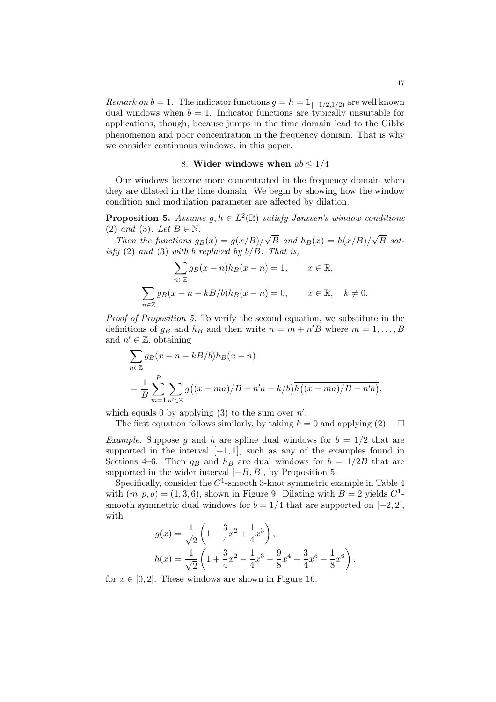Remark on  $b = 1$ . The indicator functions  $g = h = \mathbb{1}_{[-1/2,1/2)}$  are well known dual windows when  $b = 1$ . Indicator functions are typically unsuitable for applications, though, because jumps in the time domain lead to the Gibbs phenomenon and poor concentration in the frequency domain. That is why we consider continuous windows, in this paper.

# 8. Wider windows when  $ab \leq 1/4$

Our windows become more concentrated in the frequency domain when they are dilated in the time domain. We begin by showing how the window condition and modulation parameter are affected by dilation.

**Proposition 5.** Assume  $g, h \in L^2(\mathbb{R})$  satisfy Janssen's window conditions (2) and (3). Let  $B \in \mathbb{N}$ . √ √

Then the functions  $g_B(x) = g(x/B)$ / B and  $h_B(x) = h(x/B)/$ B satisfy  $(2)$  and  $(3)$  with b replaced by  $b/B$ . That is,  $\overline{\phantom{a}}$ 

$$
\sum_{n\in\mathbb{Z}} g_B(x-n)\overline{h_B(x-n)} = 1, \qquad x \in \mathbb{R},
$$
  

$$
\sum_{n\in\mathbb{Z}} g_B(x-n-kB/b)\overline{h_B(x-n)} = 0, \qquad x \in \mathbb{R}, \quad k \neq 0.
$$

Proof of Proposition 5. To verify the second equation, we substitute in the definitions of  $g_B$  and  $h_B$  and then write  $n = m + n'B$  where  $m = 1, \ldots, B$ and  $n' \in \mathbb{Z}$ , obtaining

$$
\sum_{n\in\mathbb{Z}} g_B(x - n - kB/b) \overline{h_B(x - n)}
$$
  
= 
$$
\frac{1}{B} \sum_{m=1}^{B} \sum_{n'\in\mathbb{Z}} g((x - ma)/B - n'a - k/b) \overline{h((x - ma)/B - n'a)},
$$

which equals 0 by applying  $(3)$  to the sum over  $n'$ .

The first equation follows similarly, by taking  $k = 0$  and applying (2).  $\Box$ 

*Example.* Suppose g and h are spline dual windows for  $b = 1/2$  that are supported in the interval  $[-1, 1]$ , such as any of the examples found in Sections 4–6. Then  $g_B$  and  $h_B$  are dual windows for  $b = 1/2B$  that are supported in the wider interval  $[-B, B]$ , by Proposition 5.

Specifically, consider the  $C^1$ -smooth 3-knot symmetric example in Table 4 with  $(m, p, q) = (1, 3, 6)$ , shown in Figure 9. Dilating with  $B = 2$  yields  $C^1$ smooth symmetric dual windows for  $b = 1/4$  that are supported on  $[-2, 2]$ , with  $\overline{a}$  $\mathbf{r}$ 

$$
g(x) = \frac{1}{\sqrt{2}} \left( 1 - \frac{3}{4}x^2 + \frac{1}{4}x^3 \right),
$$
  
\n
$$
h(x) = \frac{1}{\sqrt{2}} \left( 1 + \frac{3}{4}x^2 - \frac{1}{4}x^3 - \frac{9}{8}x^4 + \frac{3}{4}x^5 - \frac{1}{8}x^6 \right),
$$

for  $x \in [0, 2]$ . These windows are shown in Figure 16.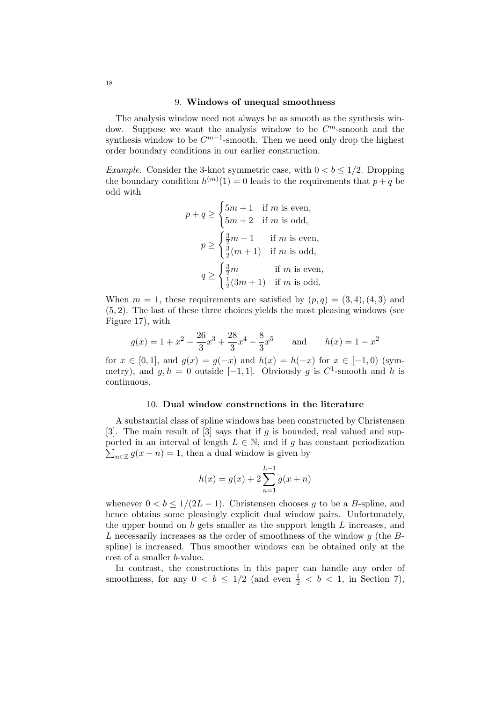## 9. Windows of unequal smoothness

The analysis window need not always be as smooth as the synthesis window. Suppose we want the analysis window to be  $C<sup>m</sup>$ -smooth and the synthesis window to be  $C^{m-1}$ -smooth. Then we need only drop the highest order boundary conditions in our earlier construction.

*Example.* Consider the 3-knot symmetric case, with  $0 < b < 1/2$ . Dropping the boundary condition  $h^{(m)}(1) = 0$  leads to the requirements that  $p + q$  be odd with  $\overline{a}$ 

$$
p + q \ge \begin{cases} 5m + 1 & \text{if } m \text{ is even,} \\ 5m + 2 & \text{if } m \text{ is odd,} \end{cases}
$$

$$
p \ge \begin{cases} \frac{3}{2}m + 1 & \text{if } m \text{ is even,} \\ \frac{3}{2}(m + 1) & \text{if } m \text{ is odd,} \\ \frac{1}{2}(3m + 1) & \text{if } m \text{ is even,} \end{cases}
$$

$$
q \ge \begin{cases} \frac{3}{2}m & \text{if } m \text{ is even,} \\ \frac{1}{2}(3m + 1) & \text{if } m \text{ is odd.} \end{cases}
$$

When  $m = 1$ , these requirements are satisfied by  $(p, q) = (3, 4), (4, 3)$  and (5, 2). The last of these three choices yields the most pleasing windows (see Figure 17), with

$$
g(x) = 1 + x^2 - \frac{26}{3}x^3 + \frac{28}{3}x^4 - \frac{8}{3}x^5
$$
 and  $h(x) = 1 - x^2$ 

for  $x \in [0,1]$ , and  $g(x) = g(-x)$  and  $h(x) = h(-x)$  for  $x \in [-1,0)$  (symmetry), and  $g, h = 0$  outside [-1, 1]. Obviously g is  $C^1$ -smooth and h is continuous.

# 10. Dual window constructions in the literature

A substantial class of spline windows has been constructed by Christensen [3]. The main result of [3] says that if g is bounded, real valued and supported in an interval of length  $L \in \mathbb{N}$ , and if g has constant periodization  $n \in \mathbb{Z}$   $g(x - n) = 1$ , then a dual window is given by

$$
h(x) = g(x) + 2\sum_{n=1}^{L-1} g(x+n)
$$

whenever  $0 < b \leq 1/(2L-1)$ . Christensen chooses g to be a B-spline, and hence obtains some pleasingly explicit dual window pairs. Unfortunately, the upper bound on  $b$  gets smaller as the support length  $L$  increases, and L necessarily increases as the order of smoothness of the window  $g$  (the  $B$ spline) is increased. Thus smoother windows can be obtained only at the cost of a smaller b-value.

In contrast, the constructions in this paper can handle any order of smoothness, for any  $0 < b \leq 1/2$  (and even  $\frac{1}{2} < b < 1$ , in Section 7),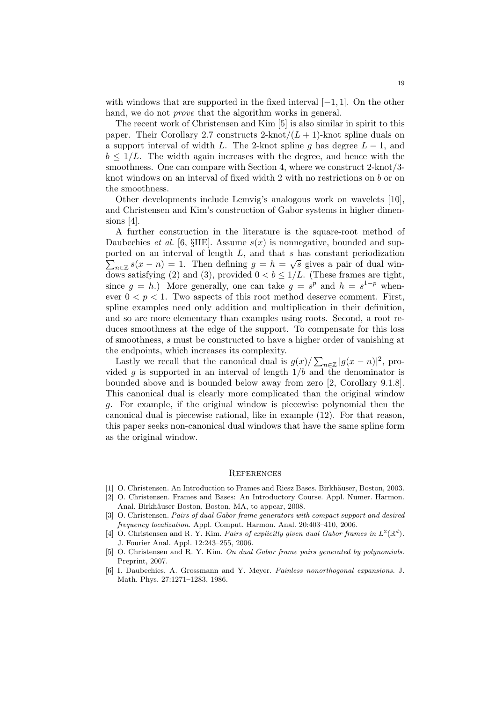with windows that are supported in the fixed interval  $[-1, 1]$ . On the other hand, we do not *prove* that the algorithm works in general.

The recent work of Christensen and Kim [5] is also similar in spirit to this paper. Their Corollary 2.7 constructs 2-knot $/(L+1)$ -knot spline duals on a support interval of width L. The 2-knot spline q has degree  $L - 1$ , and  $b \leq 1/L$ . The width again increases with the degree, and hence with the smoothness. One can compare with Section 4, where we construct 2-knot/3 knot windows on an interval of fixed width 2 with no restrictions on b or on the smoothness.

Other developments include Lemvig's analogous work on wavelets [10], and Christensen and Kim's construction of Gabor systems in higher dimensions [4].

A further construction in the literature is the square-root method of Daubechies et al. [6,  $\S ILE$ ]. Assume  $s(x)$  is nonnegative, bounded and supported on an interval of length  $L$ , and that  $s$  has constant periodization  $n \in \mathbb{Z}$  s(x - n) = 1. Then defining  $g = h = \sqrt{s}$  gives a pair of dual windows satisfying (2) and (3), provided  $0 < b \leq 1/L$ . (These frames are tight, since  $g = h$ .) More generally, one can take  $g = s^p$  and  $h = s^{1-p}$  whenever  $0 < p < 1$ . Two aspects of this root method deserve comment. First, spline examples need only addition and multiplication in their definition, and so are more elementary than examples using roots. Second, a root reduces smoothness at the edge of the support. To compensate for this loss of smoothness, s must be constructed to have a higher order of vanishing at the endpoints, which increases its complexity.  $\overline{ }$ 

Lastly we recall that the canonical dual is  $g(x)$  $_{n\in\mathbb{Z}}|g(x-n)|^2$ , provided g is supported in an interval of length  $1/b$  and the denominator is bounded above and is bounded below away from zero [2, Corollary 9.1.8]. This canonical dual is clearly more complicated than the original window g. For example, if the original window is piecewise polynomial then the canonical dual is piecewise rational, like in example (12). For that reason, this paper seeks non-canonical dual windows that have the same spline form as the original window.

#### **REFERENCES**

- [1] O. Christensen. An Introduction to Frames and Riesz Bases. Birkhäuser, Boston, 2003.
- [2] O. Christensen. Frames and Bases: An Introductory Course. Appl. Numer. Harmon. Anal. Birkhäuser Boston, Boston, MA, to appear, 2008.
- [3] O. Christensen. Pairs of dual Gabor frame generators with compact support and desired frequency localization. Appl. Comput. Harmon. Anal. 20:403–410, 2006.
- [4] O. Christensen and R. Y. Kim. Pairs of explicitly given dual Gabor frames in  $L^2(\mathbb{R}^d)$ . J. Fourier Anal. Appl. 12:243–255, 2006.
- [5] O. Christensen and R. Y. Kim. On dual Gabor frame pairs generated by polynomials. Preprint, 2007.
- [6] I. Daubechies, A. Grossmann and Y. Meyer. Painless nonorthogonal expansions. J. Math. Phys. 27:1271–1283, 1986.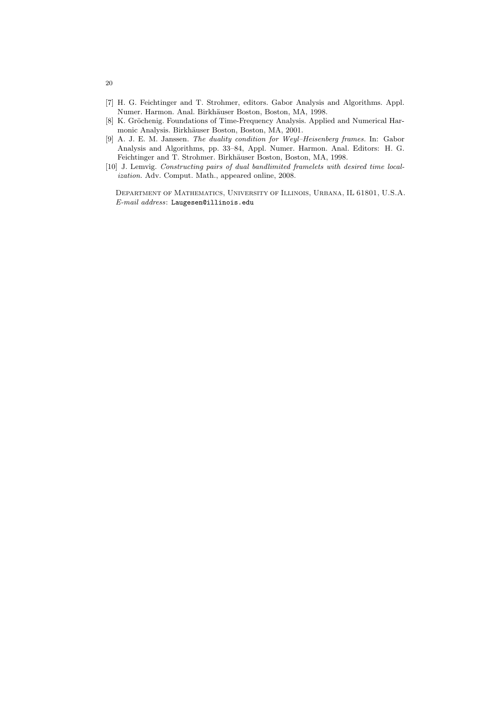- [7] H. G. Feichtinger and T. Strohmer, editors. Gabor Analysis and Algorithms. Appl. Numer. Harmon. Anal. Birkhäuser Boston, Boston, MA, 1998.
- [8] K. Gröchenig. Foundations of Time-Frequency Analysis. Applied and Numerical Harmonic Analysis. Birkhäuser Boston, Boston, MA, 2001.
- [9] A. J. E. M. Janssen. The duality condition for Weyl–Heisenberg frames. In: Gabor Analysis and Algorithms, pp. 33–84, Appl. Numer. Harmon. Anal. Editors: H. G. Feichtinger and T. Strohmer. Birkhäuser Boston, Boston, MA, 1998.
- [10] J. Lemvig. Constructing pairs of dual bandlimited framelets with desired time localization. Adv. Comput. Math., appeared online, 2008.

Department of Mathematics, University of Illinois, Urbana, IL 61801, U.S.A. E-mail address: Laugesen@illinois.edu

20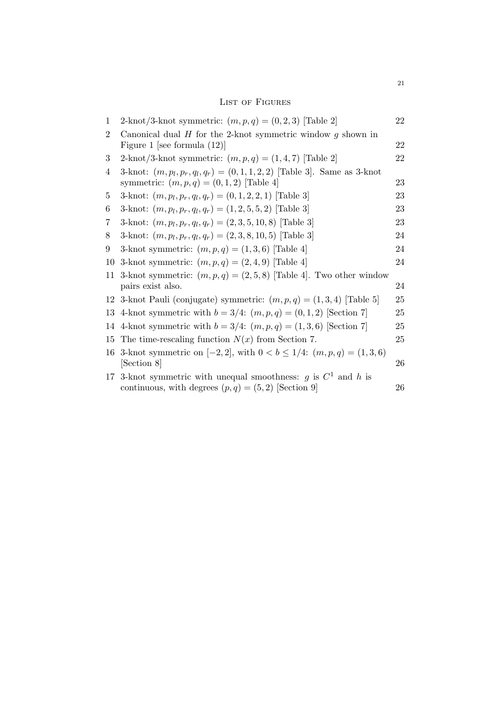# LIST OF FIGURES

| 1              | 2-knot/3-knot symmetric: $(m, p, q) = (0, 2, 3)$ [Table 2]                                                              | 22 |
|----------------|-------------------------------------------------------------------------------------------------------------------------|----|
| $\overline{2}$ | Canonical dual $H$ for the 2-knot symmetric window $g$ shown in<br>Figure 1 [see formula $(12)$ ]                       | 22 |
| 3              | 2-knot/3-knot symmetric: $(m, p, q) = (1, 4, 7)$ [Table 2]                                                              | 22 |
| 4              | 3-knot: $(m, p_l, p_r, q_l, q_r) = (0, 1, 1, 2, 2)$ [Table 3]. Same as 3-knot                                           |    |
|                | symmetric: $(m, p, q) = (0, 1, 2)$ [Table 4]                                                                            | 23 |
| 5              | 3-knot: $(m, p_l, p_r, q_l, q_r) = (0, 1, 2, 2, 1)$ [Table 3]                                                           | 23 |
| 6              | 3-knot: $(m, p_l, p_r, q_l, q_r) = (1, 2, 5, 5, 2)$ [Table 3]                                                           | 23 |
| 7              | 3-knot: $(m, p_l, p_r, q_l, q_r) = (2, 3, 5, 10, 8)$ [Table 3]                                                          | 23 |
| 8              | 3-knot: $(m, p_l, p_r, q_l, q_r) = (2, 3, 8, 10, 5)$ [Table 3]                                                          | 24 |
| 9              | 3-knot symmetric: $(m, p, q) = (1, 3, 6)$ [Table 4]                                                                     | 24 |
| 10             | 3-knot symmetric: $(m, p, q) = (2, 4, 9)$ [Table 4]                                                                     | 24 |
| 11             | 3-knot symmetric: $(m, p, q) = (2, 5, 8)$ [Table 4]. Two other window                                                   |    |
|                | pairs exist also.                                                                                                       | 24 |
| 12             | 3-knot Pauli (conjugate) symmetric: $(m, p, q) = (1, 3, 4)$ [Table 5]                                                   | 25 |
| 13             | 4-knot symmetric with $b = 3/4$ : $(m, p, q) = (0, 1, 2)$ [Section 7]                                                   | 25 |
|                | 14 4-knot symmetric with $b = 3/4$ : $(m, p, q) = (1, 3, 6)$ [Section 7]                                                | 25 |
| 15             | The time-rescaling function $N(x)$ from Section 7.                                                                      | 25 |
| 16             | 3-knot symmetric on $[-2, 2]$ , with $0 < b \le 1/4$ : $(m, p, q) = (1, 3, 6)$<br>[Section 8]                           | 26 |
| 17             | 3-knot symmetric with unequal smoothness: g is $C^1$ and h is<br>continuous, with degrees $(p, q) = (5, 2)$ [Section 9] | 26 |
|                |                                                                                                                         |    |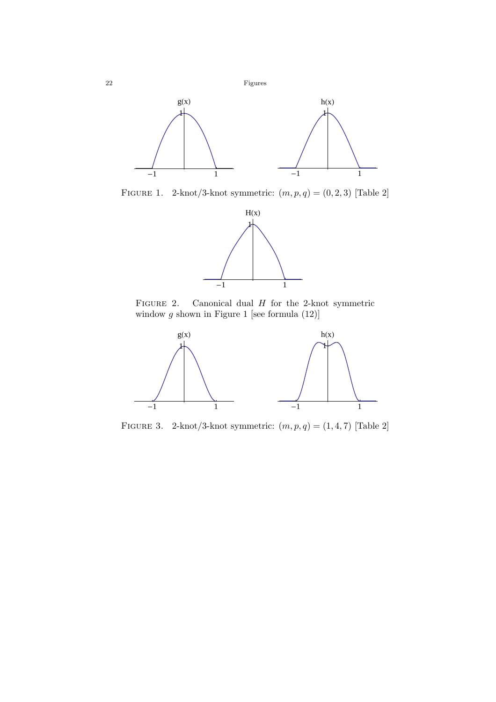

FIGURE 1. 2-knot/3-knot symmetric:  $(m, p, q) = (0, 2, 3)$  [Table 2]



FIGURE 2. Canonical dual  $H$  for the 2-knot symmetric window  $g$  shown in Figure 1 [see formula  $(12)$ ]



FIGURE 3. 2-knot/3-knot symmetric:  $(m, p, q) = (1, 4, 7)$  [Table 2]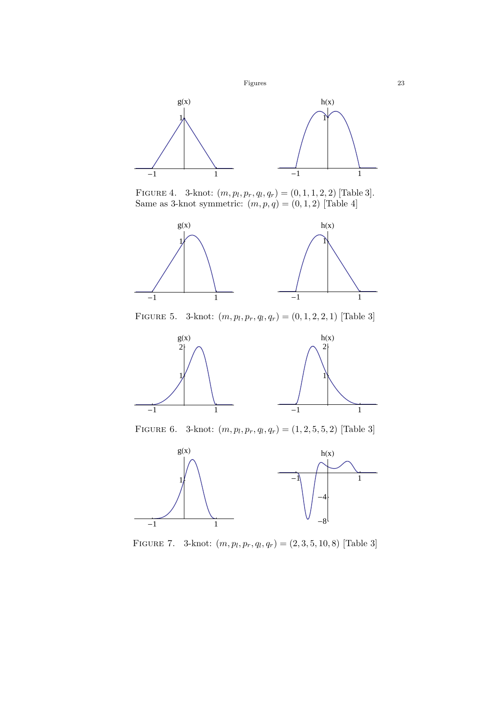

FIGURE 4. 3-knot:  $(m, p_l, p_r, q_l, q_r) = (0, 1, 1, 2, 2)$  [Table 3]. Same as 3-knot symmetric:  $(m, p, q) = (0, 1, 2)$  [Table 4]



FIGURE 5. 3-knot:  $(m, p_l, p_r, q_l, q_r) = (0, 1, 2, 2, 1)$  [Table 3]



FIGURE 6. 3-knot:  $(m, p_l, p_r, q_l, q_r) = (1, 2, 5, 5, 2)$  [Table 3]



FIGURE 7. 3-knot:  $(m, p_l, p_r, q_l, q_r) = (2, 3, 5, 10, 8)$  [Table 3]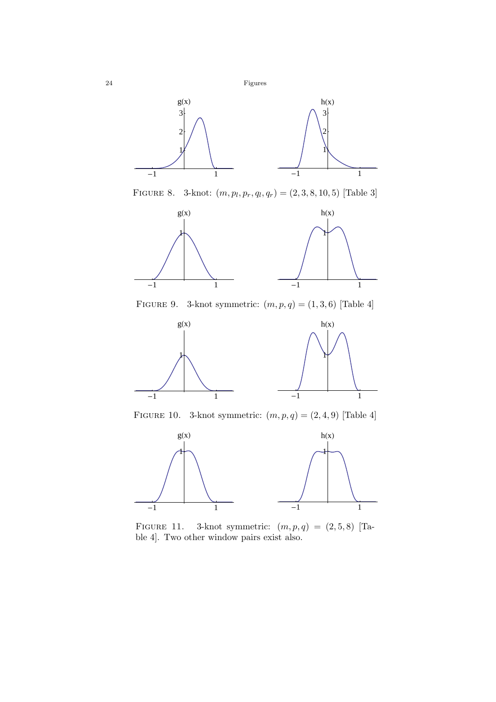

FIGURE 8. 3-knot:  $(m, p_l, p_r, q_l, q_r) = (2, 3, 8, 10, 5)$  [Table 3]



FIGURE 9. 3-knot symmetric:  $(m, p, q) = (1, 3, 6)$  [Table 4]



FIGURE 10. 3-knot symmetric:  $(m, p, q) = (2, 4, 9)$  [Table 4]



FIGURE 11. 3-knot symmetric:  $(m, p, q) = (2, 5, 8)$  [Table 4]. Two other window pairs exist also.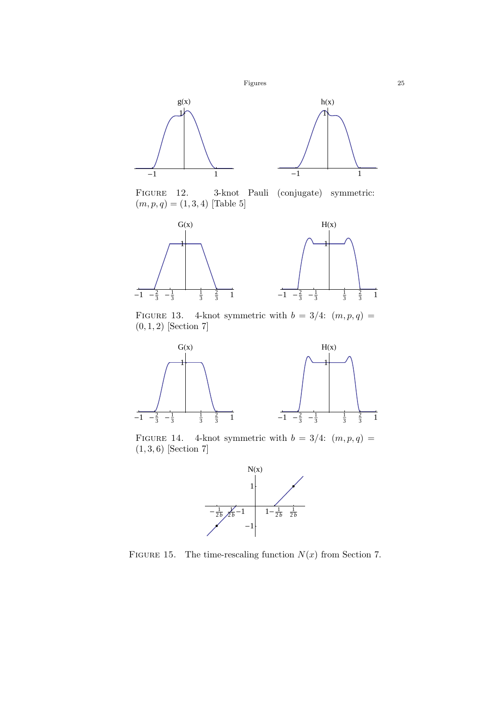



Figure 12. 3-knot Pauli (conjugate) symmetric:  $(m, p, q) = (1, 3, 4)$  [Table 5]



FIGURE 13. 4-knot symmetric with  $b = 3/4$ :  $(m, p, q) =$  $(0, 1, 2)$  [Section 7]



FIGURE 14. 4-knot symmetric with  $b = 3/4$ :  $(m, p, q)$  =  $(1, 3, 6)$  [Section 7]



FIGURE 15. The time-rescaling function  $N(x)$  from Section 7.